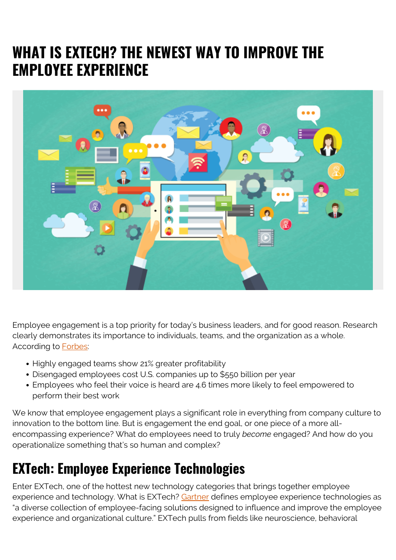## **WHAT IS EXTECH? THE NEWEST WAY TO IMPROVE THE EMPLOYEE EXPERIENCE**



Employee engagement is a top priority for today's business leaders, and for good reason. Research clearly demonstrates its importance to individuals, teams, and the organization as a whole. According to [Forbes:](https://www.forbes.com/sites/nazbeheshti/2019/01/16/10-timely-statistics-about-the-connection-between-employee-engagement-and-wellness/#351f05c822a0)

- Highly engaged teams show 21% greater profitability
- Disengaged employees cost U.S. companies up to \$550 billion per year
- Employees who feel their voice is heard are 4.6 times more likely to feel empowered to perform their best work

We know that employee engagement plays a significant role in everything from company culture to innovation to the bottom line. But is engagement the end goal, or one piece of a more allencompassing experience? What do employees need to truly *become* engaged? And how do you operationalize something that's so human and complex?

## **EXTech: Employee Experience Technologies**

Enter EXTech, one of the hottest new technology categories that brings together employee experience and technology. What is EXTech? [Gartner](https://www.gartner.com/en/documents/3953515/hype-cycle-for-the-digital-workplace-2019) defines employee experience technologies as "a diverse collection of employee-facing solutions designed to influence and improve the employee experience and organizational culture." EXTech pulls from fields like neuroscience, behavioral